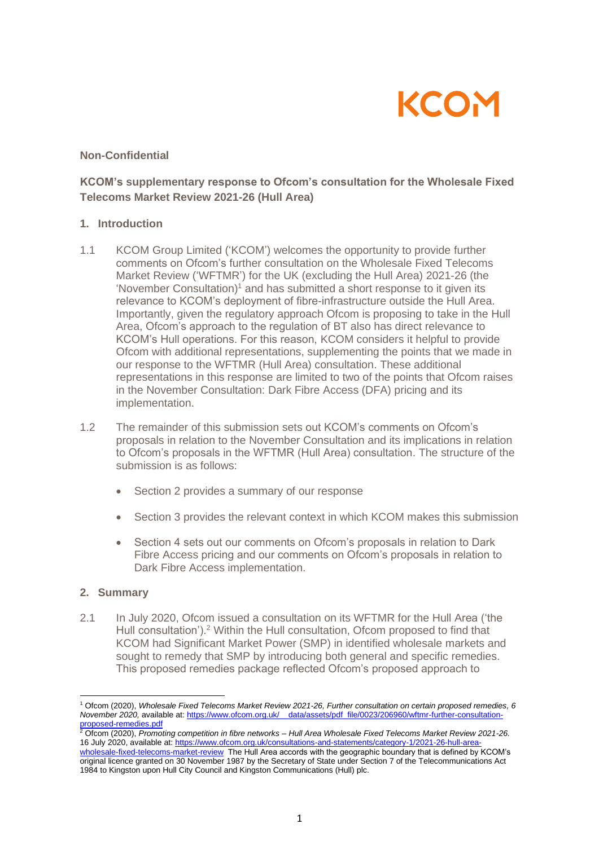

### **Non-Confidential**

## **KCOM's supplementary response to Ofcom's consultation for the Wholesale Fixed Telecoms Market Review 2021-26 (Hull Area)**

#### **1. Introduction**

- 1.1 KCOM Group Limited ('KCOM') welcomes the opportunity to provide further comments on Ofcom's further consultation on the Wholesale Fixed Telecoms Market Review ('WFTMR') for the UK (excluding the Hull Area) 2021-26 (the 'November Consultation)<sup>1</sup> and has submitted a short response to it given its relevance to KCOM's deployment of fibre-infrastructure outside the Hull Area. Importantly, given the regulatory approach Ofcom is proposing to take in the Hull Area, Ofcom's approach to the regulation of BT also has direct relevance to KCOM's Hull operations. For this reason, KCOM considers it helpful to provide Ofcom with additional representations, supplementing the points that we made in our response to the WFTMR (Hull Area) consultation. These additional representations in this response are limited to two of the points that Ofcom raises in the November Consultation: Dark Fibre Access (DFA) pricing and its implementation.
- 1.2 The remainder of this submission sets out KCOM's comments on Ofcom's proposals in relation to the November Consultation and its implications in relation to Ofcom's proposals in the WFTMR (Hull Area) consultation. The structure of the submission is as follows:
	- Section 2 provides a summary of our response
	- Section 3 provides the relevant context in which KCOM makes this submission
	- Section 4 sets out our comments on Ofcom's proposals in relation to Dark Fibre Access pricing and our comments on Ofcom's proposals in relation to Dark Fibre Access implementation.

## **2. Summary**

2.1 In July 2020, Ofcom issued a consultation on its WFTMR for the Hull Area ('the Hull consultation').<sup>2</sup> Within the Hull consultation, Ofcom proposed to find that KCOM had Significant Market Power (SMP) in identified wholesale markets and sought to remedy that SMP by introducing both general and specific remedies. This proposed remedies package reflected Ofcom's proposed approach to

<sup>1</sup> Ofcom (2020), *Wholesale Fixed Telecoms Market Review 2021-26, Further consultation on certain proposed remedies, 6 November 2020,* available at[: https://www.ofcom.org.uk/\\_\\_data/assets/pdf\\_file/0023/206960/wftmr-further-consultation](https://www.ofcom.org.uk/__data/assets/pdf_file/0023/206960/wftmr-further-consultation-proposed-remedies.pdf)[proposed-remedies.pdf](https://www.ofcom.org.uk/__data/assets/pdf_file/0023/206960/wftmr-further-consultation-proposed-remedies.pdf)

<sup>2</sup> Ofcom (2020), *Promoting competition in fibre networks – Hull Area Wholesale Fixed Telecoms Market Review 2021-26.* 16 July 2020, available at: [https://www.ofcom.org.uk/consultations-and-statements/category-1/2021-26-hull-area](https://www.ofcom.org.uk/consultations-and-statements/category-1/2021-26-hull-area-wholesale-fixed-telecoms-market-review)[wholesale-fixed-telecoms-market-review](https://www.ofcom.org.uk/consultations-and-statements/category-1/2021-26-hull-area-wholesale-fixed-telecoms-market-review) The Hull Area accords with the geographic boundary that is defined by KCOM's original licence granted on 30 November 1987 by the Secretary of State under Section 7 of the Telecommunications Act 1984 to Kingston upon Hull City Council and Kingston Communications (Hull) plc.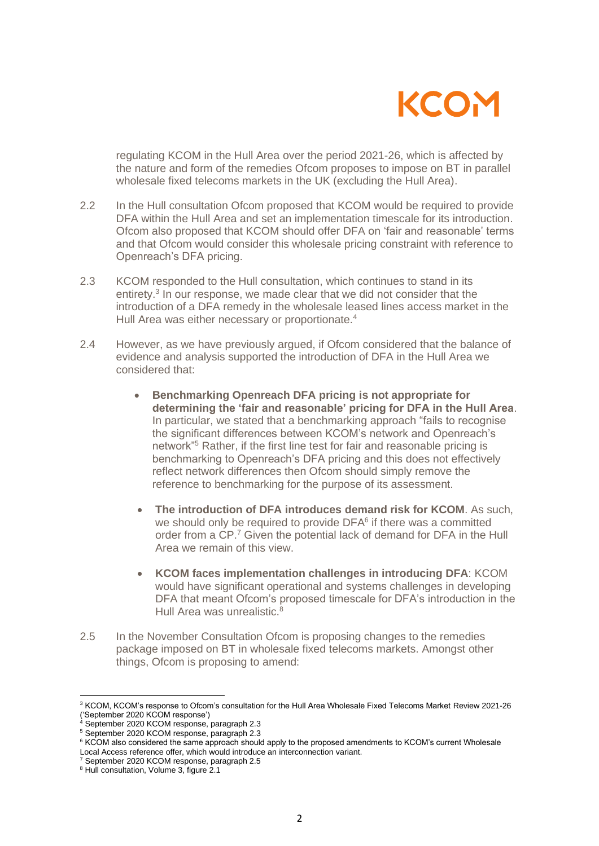

regulating KCOM in the Hull Area over the period 2021-26, which is affected by the nature and form of the remedies Ofcom proposes to impose on BT in parallel wholesale fixed telecoms markets in the UK (excluding the Hull Area).

- 2.2 In the Hull consultation Ofcom proposed that KCOM would be required to provide DFA within the Hull Area and set an implementation timescale for its introduction. Ofcom also proposed that KCOM should offer DFA on 'fair and reasonable' terms and that Ofcom would consider this wholesale pricing constraint with reference to Openreach's DFA pricing.
- 2.3 KCOM responded to the Hull consultation, which continues to stand in its entirety.<sup>3</sup> In our response, we made clear that we did not consider that the introduction of a DFA remedy in the wholesale leased lines access market in the Hull Area was either necessary or proportionate.<sup>4</sup>
- 2.4 However, as we have previously argued, if Ofcom considered that the balance of evidence and analysis supported the introduction of DFA in the Hull Area we considered that:
	- **Benchmarking Openreach DFA pricing is not appropriate for determining the 'fair and reasonable' pricing for DFA in the Hull Area**. In particular, we stated that a benchmarking approach "fails to recognise the significant differences between KCOM's network and Openreach's network"<sup>5</sup> Rather, if the first line test for fair and reasonable pricing is benchmarking to Openreach's DFA pricing and this does not effectively reflect network differences then Ofcom should simply remove the reference to benchmarking for the purpose of its assessment.
	- **The introduction of DFA introduces demand risk for KCOM**. As such, we should only be required to provide DFA<sup>6</sup> if there was a committed order from a CP.<sup>7</sup> Given the potential lack of demand for DFA in the Hull Area we remain of this view.
	- **KCOM faces implementation challenges in introducing DFA**: KCOM would have significant operational and systems challenges in developing DFA that meant Ofcom's proposed timescale for DFA's introduction in the Hull Area was unrealistic.<sup>8</sup>
- 2.5 In the November Consultation Ofcom is proposing changes to the remedies package imposed on BT in wholesale fixed telecoms markets. Amongst other things, Ofcom is proposing to amend:

<sup>&</sup>lt;sup>3</sup> KCOM, KCOM's response to Ofcom's consultation for the Hull Area Wholesale Fixed Telecoms Market Review 2021-26 ('September 2020 KCOM response')

<sup>4</sup> September 2020 KCOM response, paragraph 2.3

<sup>5</sup> September 2020 KCOM response, paragraph 2.3

<sup>6</sup> KCOM also considered the same approach should apply to the proposed amendments to KCOM's current Wholesale Local Access reference offer, which would introduce an interconnection variant.

<sup>7</sup> September 2020 KCOM response, paragraph 2.5

<sup>&</sup>lt;sup>8</sup> Hull consultation, Volume 3, figure 2.1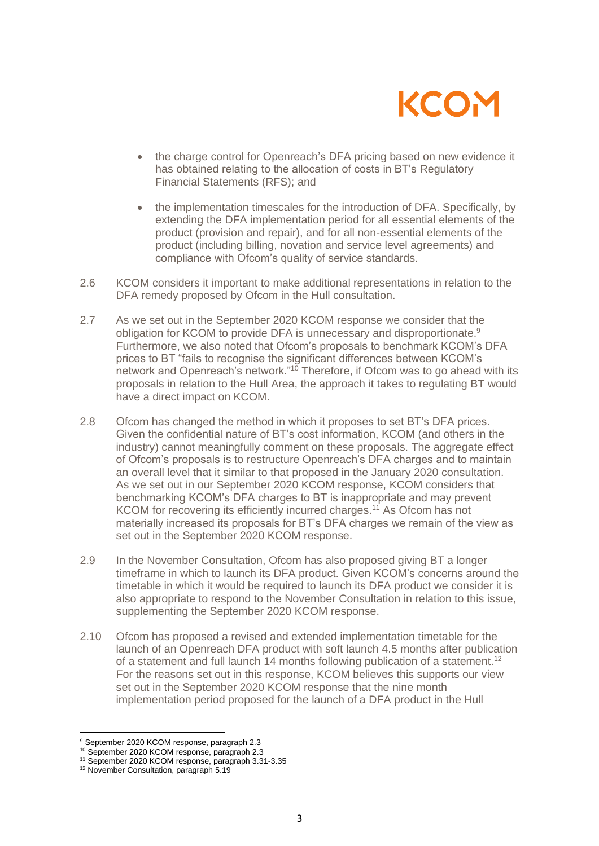

- the charge control for Openreach's DFA pricing based on new evidence it has obtained relating to the allocation of costs in BT's Regulatory Financial Statements (RFS); and
- the implementation timescales for the introduction of DFA. Specifically, by extending the DFA implementation period for all essential elements of the product (provision and repair), and for all non-essential elements of the product (including billing, novation and service level agreements) and compliance with Ofcom's quality of service standards.
- 2.6 KCOM considers it important to make additional representations in relation to the DFA remedy proposed by Ofcom in the Hull consultation.
- 2.7 As we set out in the September 2020 KCOM response we consider that the obligation for KCOM to provide DFA is unnecessary and disproportionate.<sup>9</sup> Furthermore, we also noted that Ofcom's proposals to benchmark KCOM's DFA prices to BT "fails to recognise the significant differences between KCOM's network and Openreach's network."<sup>10</sup> Therefore, if Ofcom was to go ahead with its proposals in relation to the Hull Area, the approach it takes to regulating BT would have a direct impact on KCOM.
- 2.8 Ofcom has changed the method in which it proposes to set BT's DFA prices. Given the confidential nature of BT's cost information, KCOM (and others in the industry) cannot meaningfully comment on these proposals. The aggregate effect of Ofcom's proposals is to restructure Openreach's DFA charges and to maintain an overall level that it similar to that proposed in the January 2020 consultation. As we set out in our September 2020 KCOM response, KCOM considers that benchmarking KCOM's DFA charges to BT is inappropriate and may prevent KCOM for recovering its efficiently incurred charges.<sup>11</sup> As Ofcom has not materially increased its proposals for BT's DFA charges we remain of the view as set out in the September 2020 KCOM response.
- 2.9 In the November Consultation, Ofcom has also proposed giving BT a longer timeframe in which to launch its DFA product. Given KCOM's concerns around the timetable in which it would be required to launch its DFA product we consider it is also appropriate to respond to the November Consultation in relation to this issue, supplementing the September 2020 KCOM response.
- 2.10 Ofcom has proposed a revised and extended implementation timetable for the launch of an Openreach DFA product with soft launch 4.5 months after publication of a statement and full launch 14 months following publication of a statement.<sup>12</sup> For the reasons set out in this response, KCOM believes this supports our view set out in the September 2020 KCOM response that the nine month implementation period proposed for the launch of a DFA product in the Hull

<sup>9</sup> September 2020 KCOM response, paragraph 2.3

<sup>10</sup> September 2020 KCOM response, paragraph 2.3

<sup>11</sup> September 2020 KCOM response, paragraph 3.31-3.35

<sup>12</sup> November Consultation, paragraph 5.19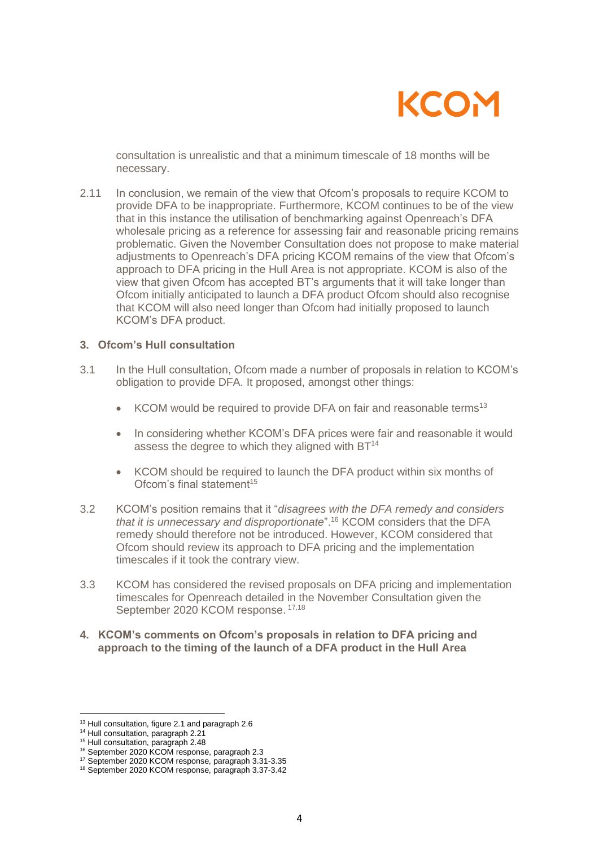

consultation is unrealistic and that a minimum timescale of 18 months will be necessary.

2.11 In conclusion, we remain of the view that Ofcom's proposals to require KCOM to provide DFA to be inappropriate. Furthermore, KCOM continues to be of the view that in this instance the utilisation of benchmarking against Openreach's DFA wholesale pricing as a reference for assessing fair and reasonable pricing remains problematic. Given the November Consultation does not propose to make material adjustments to Openreach's DFA pricing KCOM remains of the view that Ofcom's approach to DFA pricing in the Hull Area is not appropriate. KCOM is also of the view that given Ofcom has accepted BT's arguments that it will take longer than Ofcom initially anticipated to launch a DFA product Ofcom should also recognise that KCOM will also need longer than Ofcom had initially proposed to launch KCOM's DFA product.

#### **3. Ofcom's Hull consultation**

- 3.1 In the Hull consultation, Ofcom made a number of proposals in relation to KCOM's obligation to provide DFA. It proposed, amongst other things:
	- KCOM would be required to provide DFA on fair and reasonable terms<sup>13</sup>
	- In considering whether KCOM's DFA prices were fair and reasonable it would assess the degree to which they aligned with BT<sup>14</sup>
	- KCOM should be required to launch the DFA product within six months of Ofcom's final statement<sup>15</sup>
- 3.2 KCOM's position remains that it "*disagrees with the DFA remedy and considers that it is unnecessary and disproportionate*".<sup>16</sup> KCOM considers that the DFA remedy should therefore not be introduced. However, KCOM considered that Ofcom should review its approach to DFA pricing and the implementation timescales if it took the contrary view.
- 3.3 KCOM has considered the revised proposals on DFA pricing and implementation timescales for Openreach detailed in the November Consultation given the September 2020 KCOM response. 17,18
- **4. KCOM's comments on Ofcom's proposals in relation to DFA pricing and approach to the timing of the launch of a DFA product in the Hull Area**

<sup>13</sup> Hull consultation, figure 2.1 and paragraph 2.6

<sup>&</sup>lt;sup>14</sup> Hull consultation, paragraph 2.21

<sup>&</sup>lt;sup>15</sup> Hull consultation, paragraph 2.48

<sup>16</sup> September 2020 KCOM response, paragraph 2.3

<sup>17</sup> September 2020 KCOM response, paragraph 3.31-3.35

<sup>18</sup> September 2020 KCOM response, paragraph 3.37-3.42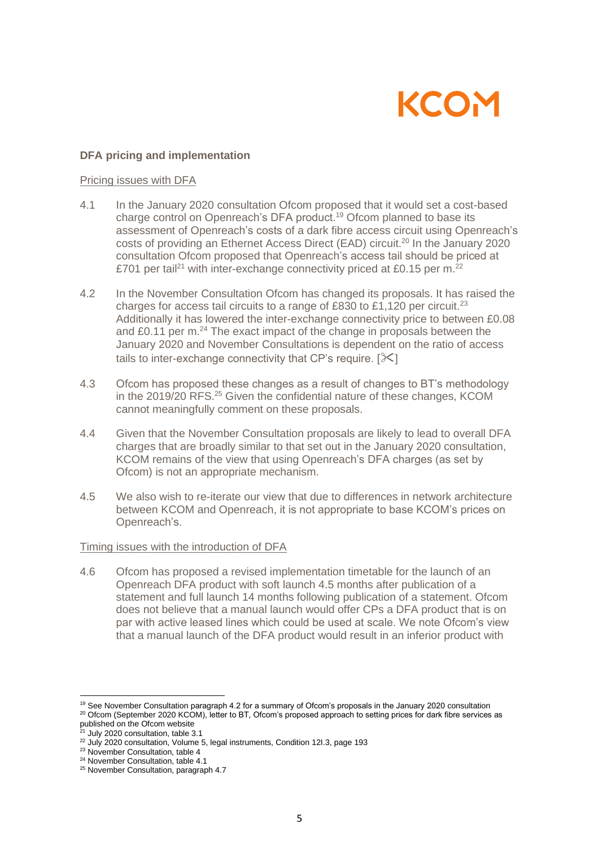# KCON

## **DFA pricing and implementation**

#### Pricing issues with DFA

- 4.1 In the January 2020 consultation Ofcom proposed that it would set a cost-based charge control on Openreach's DFA product.<sup>19</sup> Ofcom planned to base its assessment of Openreach's costs of a dark fibre access circuit using Openreach's costs of providing an Ethernet Access Direct (EAD) circuit.<sup>20</sup> In the January 2020 consultation Ofcom proposed that Openreach's access tail should be priced at £701 per tail<sup>21</sup> with inter-exchange connectivity priced at £0.15 per m.<sup>22</sup>
- 4.2 In the November Consultation Ofcom has changed its proposals. It has raised the charges for access tail circuits to a range of £830 to £1,120 per circuit.<sup>23</sup> Additionally it has lowered the inter-exchange connectivity price to between £0.08 and £0.11 per m.<sup>24</sup> The exact impact of the change in proposals between the January 2020 and November Consultations is dependent on the ratio of access tails to inter-exchange connectivity that CP's require.  $[\frac{1}{2}]$
- 4.3 Ofcom has proposed these changes as a result of changes to BT's methodology in the 2019/20 RFS.<sup>25</sup> Given the confidential nature of these changes, KCOM cannot meaningfully comment on these proposals.
- 4.4 Given that the November Consultation proposals are likely to lead to overall DFA charges that are broadly similar to that set out in the January 2020 consultation, KCOM remains of the view that using Openreach's DFA charges (as set by Ofcom) is not an appropriate mechanism.
- 4.5 We also wish to re-iterate our view that due to differences in network architecture between KCOM and Openreach, it is not appropriate to base KCOM's prices on Openreach's.

## Timing issues with the introduction of DFA

4.6 Ofcom has proposed a revised implementation timetable for the launch of an Openreach DFA product with soft launch 4.5 months after publication of a statement and full launch 14 months following publication of a statement. Ofcom does not believe that a manual launch would offer CPs a DFA product that is on par with active leased lines which could be used at scale. We note Ofcom's view that a manual launch of the DFA product would result in an inferior product with

<sup>19</sup> See November Consultation paragraph 4.2 for a summary of Ofcom's proposals in the January 2020 consultation

<sup>23</sup> November Consultation, table 4

<sup>20</sup> Ofcom (September 2020 KCOM), letter to BT, Ofcom's proposed approach to setting prices for dark fibre services as published on the Ofcom website

July 2020 consultation, table 3.1

<sup>22</sup> July 2020 consultation, Volume 5, legal instruments, Condition 12I.3, page 193

<sup>24</sup> November Consultation, table 4.1

<sup>25</sup> November Consultation, paragraph 4.7